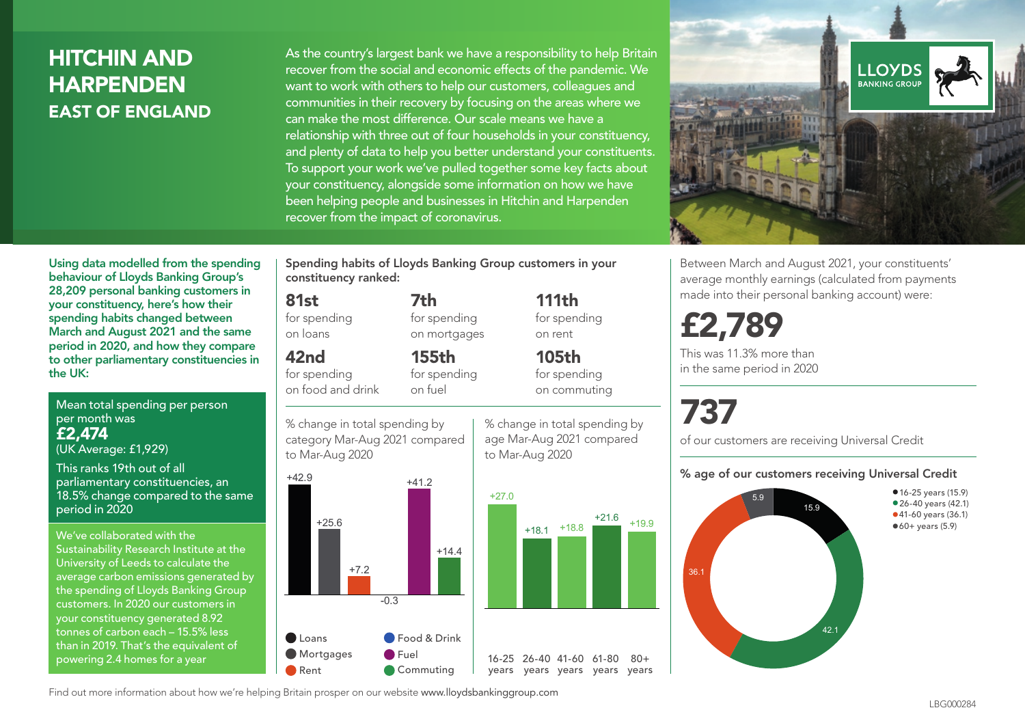## HITCHIN AND HARPENDEN EAST OF ENGLAND

As the country's largest bank we have a responsibility to help Britain recover from the social and economic effects of the pandemic. We want to work with others to help our customers, colleagues and communities in their recovery by focusing on the areas where we can make the most difference. Our scale means we have a relationship with three out of four households in your constituency, and plenty of data to help you better understand your constituents. To support your work we've pulled together some key facts about your constituency, alongside some information on how we have been helping people and businesses in Hitchin and Harpenden recover from the impact of coronavirus.



Between March and August 2021, your constituents' average monthly earnings (calculated from payments made into their personal banking account) were:

# £2,789

This was 11.3% more than in the same period in 2020

# 737

#### % age of our customers receiving Universal Credit



Using data modelled from the spending behaviour of Lloyds Banking Group's 28,209 personal banking customers in your constituency, here's how their spending habits changed between March and August 2021 and the same period in 2020, and how they compare to other parliamentary constituencies in the UK:

Mean total spending per person per month was £2,474

(UK Average: £1,929)

This ranks 19th out of all parliamentary constituencies, an 18.5% change compared to the same period in 2020

We've collaborated with the Sustainability Research Institute at the University of Leeds to calculate the average carbon emissions generated by the spending of Lloyds Banking Group customers. In 2020 our customers in your constituency generated 8.92 tonnes of carbon each – 15.5% less than in 2019. That's the equivalent of powering 2.4 homes for a year

Spending habits of Lloyds Banking Group customers in your constituency ranked:

> 7th for spending on mortgages

155th for spending on fuel

#### 81st

for spending on loans

#### 42nd

for spending on food and drink

% change in total spending by category Mar-Aug 2021 compared



% change in total spending by age Mar-Aug 2021 compared

111th for spending

on rent 105th for spending on commuting

 $80 +$ 

of our customers are receiving Universal Credit

Find out more information about how we're helping Britain prosper on our website www.lloydsbankinggroup.com